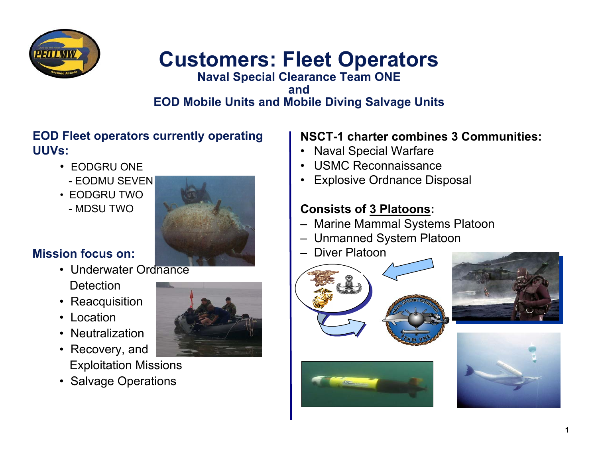

# **Customers: Fleet Operators**

#### **Naval Special Clearance Team ONE andEOD Mobile Units and Mobile Diving Salvage Units**

#### **EOD Fleet operators currently operating UUVs:**

- EODGRU ONE
- EODMU SEVEN
- EODGRU TWO
- MDSU TWO



### **Mission focus on:**

- Underwater Ordnance **Detection**
- •Reacquisition
- Location
- •Neutralization
- • Recovery, and Exploitation Missions
- Salvage Operations



### **NSCT-1 charter combines 3 Communities:**

- •Naval Special Warfare
- •USMC Reconnaissance
- •Explosive Ordnance Disposal

### **Consists of 3 Platoons:**

- Marine Mammal Systems Platoon
- Unmanned System Platoon
- Diver Platoon







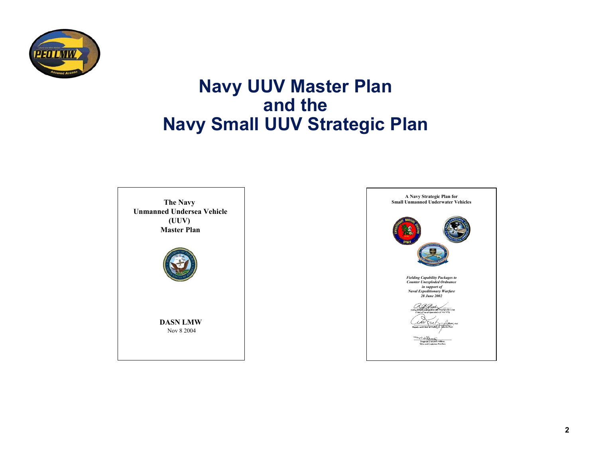

## **Navy UUV Master Plan and the Navy Small UUV Strategic Plan**



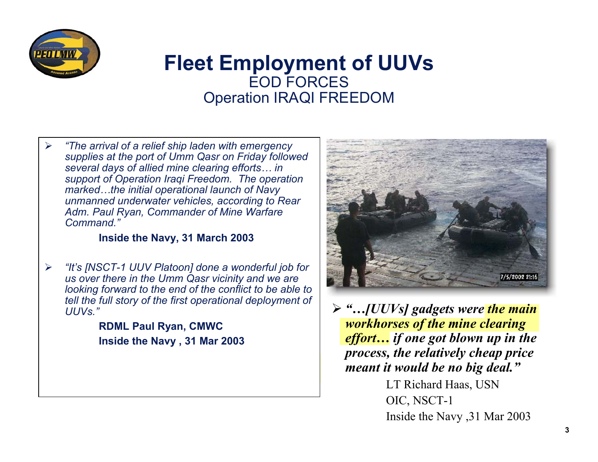

### **Fleet Employment of UUVs** EOD FORCESOperation IRAQI FREEDOM

¾ *"The arrival of a relief ship laden with emergency supplies at the port of Umm Qasr on Friday followed several days of allied mine clearing efforts… in support of Operation Iraqi Freedom. The operation marked…the initial operational launch of Navy unmanned underwater vehicles, according to Rear Adm. Paul Ryan, Commander of Mine Warfare Command."* 

#### **Inside the Navy, 31 March 2003**

¾ *"It's [NSCT-1 UUV Platoon] done a wonderful job for us over there in the Umm Qasr vicinity and we are looking forward to the end of the conflict to be able to tell the full story of the first operational deployment of UUVs."*

> **RDML Paul Ryan, CMWC Inside the Navy , 31 Mar 2003**



¾ *"…[UUVs] gadgets were the main workhorses of the mine clearing effort… if one got blown up in the process, the relatively cheap price meant it would be no big deal."*

> LT Richard Haas, USN OIC, NSCT-1 Inside the Navy ,31 Mar 2003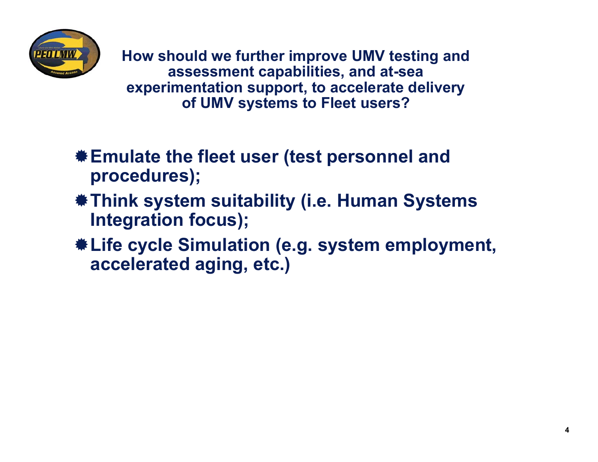

**How should we further improve UMV testing and assessment capabilities, and at-sea experimentation support, to accelerate delivery of UMV systems to Fleet users?**

- **Emulate the fleet user (test personnel and procedures);**
- **Think system suitability (i.e. Human Systems Integration focus);**
- **Life cycle Simulation (e.g. system employment, accelerated aging, etc.)**